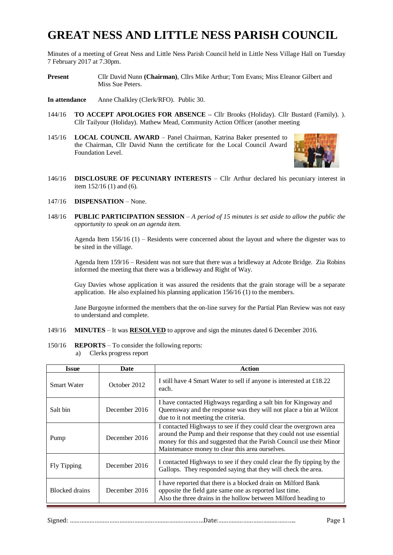# **GREAT NESS AND LITTLE NESS PARISH COUNCIL**

Minutes of a meeting of Great Ness and Little Ness Parish Council held in Little Ness Village Hall on Tuesday 7 February 2017 at 7.30pm.

**Present** Cllr David Nunn **(Chairman)**, Cllrs Mike Arthur; Tom Evans; Miss Eleanor Gilbert and Miss Sue Peters.

**In attendance** Anne Chalkley (Clerk/RFO). Public 30.

- 144/16 **TO ACCEPT APOLOGIES FOR ABSENCE –** Cllr Brooks (Holiday). Cllr Bustard (Family). ). Cllr Tailyour (Holiday). Mathew Mead, Community Action Officer (another meeting
- 145/16 **LOCAL COUNCIL AWARD** Panel Chairman, Katrina Baker presented to the Chairman, Cllr David Nunn the certificate for the Local Council Award Foundation Level.



- 146/16 **DISCLOSURE OF PECUNIARY INTERESTS** Cllr Arthur declared his pecuniary interest in item 152/16 (1) and (6).
- 147/16 **DISPENSATION** None.
- 148/16 **PUBLIC PARTICIPATION SESSION** *A period of 15 minutes is set aside to allow the public the opportunity to speak on an agenda item.*

Agenda Item  $156/16$  (1) – Residents were concerned about the layout and where the digester was to be sited in the village.

Agenda Item 159/16 – Resident was not sure that there was a bridleway at Adcote Bridge. Zia Robins informed the meeting that there was a bridleway and Right of Way.

Guy Davies whose application it was assured the residents that the grain storage will be a separate application. He also explained his planning application 156/16 (1) to the members.

Jane Burgoyne informed the members that the on-line survey for the Partial Plan Review was not easy to understand and complete.

#### 149/16 **MINUTES** – It was **RESOLVED** to approve and sign the minutes dated 6 December 2016.

150/16 **REPORTS** – To consider the following reports: a) Clerks progress report

| <b>Issue</b>          | Date          | Action                                                                                                                                                                                                                                                                |
|-----------------------|---------------|-----------------------------------------------------------------------------------------------------------------------------------------------------------------------------------------------------------------------------------------------------------------------|
| <b>Smart Water</b>    | October 2012  | I still have 4 Smart Water to sell if anyone is interested at £18.22<br>each.                                                                                                                                                                                         |
| Salt bin              | December 2016 | I have contacted Highways regarding a salt bin for Kingsway and<br>Queensway and the response was they will not place a bin at Wilcot<br>due to it not meeting the criteria.                                                                                          |
| Pump                  | December 2016 | I contacted Highways to see if they could clear the overgrown area<br>around the Pump and their response that they could not use essential<br>money for this and suggested that the Parish Council use their Minor<br>Maintenance money to clear this area ourselves. |
| Fly Tipping           | December 2016 | I contacted Highways to see if they could clear the fly tipping by the<br>Gallops. They responded saying that they will check the area.                                                                                                                               |
| <b>Blocked</b> drains | December 2016 | I have reported that there is a blocked drain on Milford Bank<br>opposite the field gate same one as reported last time.<br>Also the three drains in the hollow between Milford heading to                                                                            |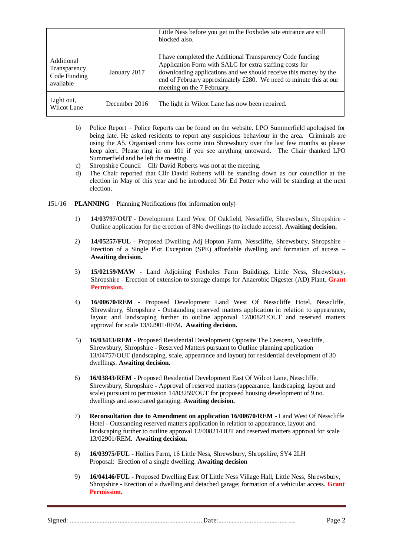|                                                         |               | Little Ness before you get to the Foxholes site entrance are still<br>blocked also.                                                                                                                                                                                                         |
|---------------------------------------------------------|---------------|---------------------------------------------------------------------------------------------------------------------------------------------------------------------------------------------------------------------------------------------------------------------------------------------|
| Additional<br>Transparency<br>Code Funding<br>available | January 2017  | I have completed the Additional Transparency Code funding<br>Application Form with SALC for extra staffing costs for<br>downloading applications and we should receive this money by the<br>end of February approximately £280. We need to minute this at our<br>meeting on the 7 February. |
| Light out,<br>Wilcot Lane                               | December 2016 | The light in Wilcot Lane has now been repaired.                                                                                                                                                                                                                                             |

- b) Police Report Police Reports can be found on the website. LPO Summerfield apologised for being late. He asked residents to report any suspicious behaviour in the area. Criminals are using the A5. Organised crime has come into Shrewsbury over the last few months so please keep alert. Please ring in on 101 if you see anything untoward. The Chair thanked LPO Summerfield and he left the meeting.
- c) Shropshire Council Cllr David Roberts was not at the meeting.
- d) The Chair reported that Cllr David Roberts will be standing down as our councillor at the election in May of this year and he introduced Mr Ed Potter who will be standing at the next election.
- 151/16 **PLANNING** Planning Notifications (for information only)
	- 1) **14/03797/OUT** Development Land West Of Oakfield, Nesscliffe, Shrewsbury, Shropshire Outline application for the erection of 8No dwellings (to include access). **Awaiting decision.**
	- 2) **14/05257/FUL** Proposed Dwelling Adj Hopton Farm, Nesscliffe, Shrewsbury, Shropshire Erection of a Single Plot Exception (SPE) affordable dwelling and formation of access – **Awaiting decision.**
	- 3) **15/02159/MAW** Land Adjoining Foxholes Farm Buildings, Little Ness, Shrewsbury, Shropshire - Erection of extension to storage clamps for Anaerobic Digester (AD) Plant. **Grant Permission.**
	- 4) **16/00670/REM** Proposed Development Land West Of Nesscliffe Hotel, Nesscliffe, Shrewsbury, Shropshire **-** Outstanding reserved matters application in relation to appearance, layout and landscaping further to outline approval 12/00821/OUT and reserved matters approval for scale 13/02901/REM**. Awaiting decision.**
	- 5) **16/03413/REM** Proposed Residential Development Opposite The Crescent, Nesscliffe, Shrewsbury, Shropshire - Reserved Matters pursuant to Outline planning application 13/04757/OUT (landscaping, scale, appearance and layout) for residential development of 30 dwellings. **Awaiting decision.**
	- 6) **16/03843/REM** Proposed Residential Development East Of Wilcot Lane, Nesscliffe, Shrewsbury, Shropshire **-** Approval of reserved matters (appearance, landscaping, layout and scale) pursuant to permission 14/03259/OUT for proposed housing development of 9 no. dwellings and associated garaging. **Awaiting decision.**
	- 7) **Reconsultation due to Amendment on application 16/00670/REM** Land West Of Nesscliffe Hotel **-** Outstanding reserved matters application in relation to appearance, layout and landscaping further to outline approval 12/00821/OUT and reserved matters approval for scale 13/02901/REM. **Awaiting decision.**
	- 8) **16/03975/FUL -** Hollies Farm, 16 Little Ness, Shrewsbury, Shropshire, SY4 2LH Proposal: Erection of a single dwelling. **Awaiting decision**
	- 9) **16/04146/FUL -** Proposed Dwelling East Of Little Ness Village Hall, Little Ness, Shrewsbury, Shropshire **-** Erection of a dwelling and detached garage; formation of a vehicular access. **Grant Permission.**

Signed: ………………………………………………………………………Date:……………………………………….. Page 2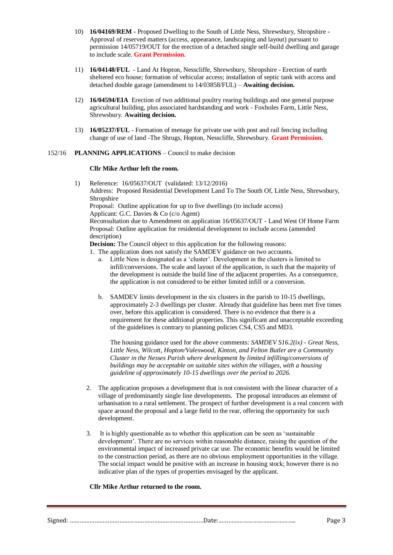- 10) **16/04169/REM -** Proposed Dwelling to the South of Little Ness, Shrewsbury, Shropshire **-** Approval of reserved matters (access, appearance, landscaping and layout) pursuant to permission 14/05719/OUT for the erection of a detached single self-build dwelling and garage to include scale. **Grant Permission.**
- 11) **16/04148/FUL** Land At Hopton, Nesscliffe, Shrewsbury, Shropshire Erection of earth sheltered eco house; formation of vehicular access; installation of septic tank with access and detached double garage (amendment to 14/03858/FUL) – **Awaiting decision.**
- 12) **16/04594/EIA** Erection of two additional poultry rearing buildings and one general purpose agricultural building, plus associated hardstanding and work - Foxholes Farm, Little Ness, Shrewsbury. **Awaiting decision.**
- 13) **16/05237/FUL** Formation of menage for private use with post and rail fencing including change of use of land -The Shrugs, Hopton, Nesscliffe, Shrewsbury. **Grant Permission.**

#### 152/16 **PLANNING APPLICATIONS** – Council to make decision

#### **Cllr Mike Arthur left the room.**

1) Reference: 16/05637/OUT (validated: 13/12/2016)

Address: Proposed Residential Development Land To The South Of, Little Ness, Shrewsbury, Shropshire

Proposal: Outline application for up to five dwellings (to include access) Applicant: G.C. Davies & Co (c/o Agent)

Reconsultation due to Amendment on application 16/05637/OUT - Land West Of Home Farm Proposal: Outline application for residential development to include access (amended description)

**Decision:** The Council object to this application for the following reasons:

- 1. The application does not satisfy the SAMDEV guidance on two accounts.
	- a. Little Ness is designated as a 'cluster'. Development in the clusters is limited to infill/conversions. The scale and layout of the application, is such that the majority of the development is outside the build line of the adjacent properties. As a consequence, the application is not considered to be either limited infill or a conversion.
	- b. SAMDEV limits development in the six clusters in the parish to 10-15 dwellings, approximately 2-3 dwellings per cluster. Already that guideline has been met five times over, before this application is considered. There is no evidence that there is a requirement for these additional properties. This significant and unacceptable exceeding of the guidelines is contrary to planning policies CS4, CS5 and MD3.

The housing guidance used for the above comments: *SAMDEV S16.2(ix) - Great Ness, Little Ness, Wilcott, Hopton/Valeswood, Kinton, and Felton Butler are a Community Cluster in the Nesses Parish where development by limited infilling/conversions of buildings may be acceptable on suitable sites within the villages, with a housing guideline of approximately 10-15 dwellings over the period to 2026.*

- 2. The application proposes a development that is not consistent with the linear character of a village of predominantly single line developments. The proposal introduces an element of urbanisation to a rural settlement. The prospect of further development is a real concern with space around the proposal and a large field to the rear, offering the opportunity for such development.
- 3. It is highly questionable as to whether this application can be seen as 'sustainable development'. There are no services within reasonable distance, raising the question of the environmental impact of increased private car use. The economic benefits would be limited to the construction period, as there are no obvious employment opportunities in the village. The social impact would be positive with an increase in housing stock; however there is no indicative plan of the types of properties envisaged by the applicant*.*

#### **Cllr Mike Arthur returned to the room.**

Signed: ………………………………………………………………………Date:……………………………………….. Page 3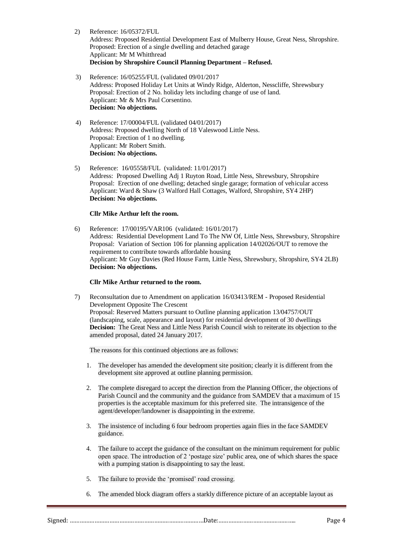- 2) Reference: 16/05372/FUL Address: Proposed Residential Development East of Mulberry House, Great Ness, Shropshire. Proposed: Erection of a single dwelling and detached garage Applicant: Mr M Whitthread **Decision by Shropshire Council Planning Department – Refused.**
- 3) Reference: 16/05255/FUL (validated 09/01/2017 Address: Proposed Holiday Let Units at Windy Ridge, Alderton, Nesscliffe, Shrewsbury Proposal: Erection of 2 No. holiday lets including change of use of land. Applicant: Mr & Mrs Paul Corsentino. **Decision: No objections.**
- 4) Reference: 17/00004/FUL (validated 04/01/2017) Address: Proposed dwelling North of 18 Valeswood Little Ness. Proposal: Erection of 1 no dwelling. Applicant: Mr Robert Smith. **Decision: No objections.**
- 5) Reference: 16/05558/FUL (validated: 11/01/2017) Address: Proposed Dwelling Adj 1 Ruyton Road, Little Ness, Shrewsbury, Shropshire Proposal: Erection of one dwelling; detached single garage; formation of vehicular access Applicant: Ward & Shaw (3 Walford Hall Cottages, Walford, Shropshire, SY4 2HP) **Decision: No objections.**

## **Cllr Mike Arthur left the room.**

6) Reference: 17/00195/VAR106 (validated: 16/01/2017) Address: Residential Development Land To The NW Of, Little Ness, Shrewsbury, Shropshire Proposal: Variation of Section 106 for planning application 14/02026/OUT to remove the requirement to contribute towards affordable housing Applicant: Mr Guy Davies (Red House Farm, Little Ness, Shrewsbury, Shropshire, SY4 2LB) **Decision: No objections.**

## **Cllr Mike Arthur returned to the room.**

7) Reconsultation due to Amendment on application 16/03413/REM - Proposed Residential Development Opposite The Crescent Proposal: Reserved Matters pursuant to Outline planning application 13/04757/OUT (landscaping, scale, appearance and layout) for residential development of 30 dwellings **Decision:** The Great Ness and Little Ness Parish Council wish to reiterate its objection to the amended proposal, dated 24 January 2017.

The reasons for this continued objections are as follows:

- 1. The developer has amended the development site position; clearly it is different from the development site approved at outline planning permission.
- 2. The complete disregard to accept the direction from the Planning Officer, the objections of Parish Council and the community and the guidance from SAMDEV that a maximum of 15 properties is the acceptable maximum for this preferred site. The intransigence of the agent/developer/landowner is disappointing in the extreme.
- 3. The insistence of including 6 four bedroom properties again flies in the face SAMDEV guidance.
- 4. The failure to accept the guidance of the consultant on the minimum requirement for public open space. The introduction of 2 'postage size' public area, one of which shares the space with a pumping station is disappointing to say the least.
- 5. The failure to provide the 'promised' road crossing.
- 6. The amended block diagram offers a starkly difference picture of an acceptable layout as

Signed: ………………………………………………………………………Date:……………………………………….. Page 4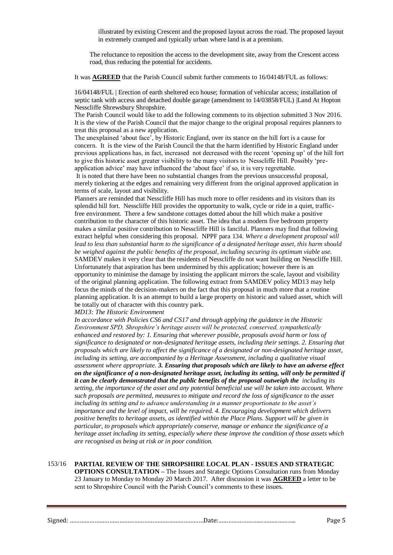illustrated by existing Crescent and the proposed layout across the road. The proposed layout in extremely cramped and typically urban where land is at a premium.

The reluctance to reposition the access to the development site, away from the Crescent access road, thus reducing the potential for accidents.

It was **AGREED** that the Parish Council submit further comments to 16/04148/FUL as follows:

16/04148/FUL | Erection of earth sheltered eco house; formation of vehicular access; installation of septic tank with access and detached double garage (amendment to 14/03858/FUL) |Land At Hopton Nesscliffe Shrewsbury Shropshire.

The Parish Council would like to add the following comments to its objection submitted 3 Nov 2016. It is the view of the Parish Council that the major change to the original proposal requires planners to treat this proposal as a new application.

The unexplained 'about face', by Historic England, over its stance on the hill fort is a cause for concern. It is the view of the Parish Council the that the harm identified by Historic England under previous applications has, in fact, increased not decreased with the recent 'opening up' of the hill fort to give this historic asset greater visibility to the many visitors to Nesscliffe Hill. Possibly 'preapplication advice' may have influenced the 'about face' if so, it is very regrettable.

It is noted that there have been no substantial changes from the previous unsuccessful proposal, merely tinkering at the edges and remaining very different from the original approved application in terms of scale, layout and visibility.

Planners are reminded that Nesscliffe Hill has much more to offer residents and its visitors than its splendid hill fort. Nesscliffe Hill provides the opportunity to walk, cycle or ride in a quiet, trafficfree environment. There a few sandstone cottages dotted about the hill which make a positive contribution to the character of this historic asset. The idea that a modern five bedroom property makes a similar positive contribution to Nesscliffe Hill is fanciful. Planners may find that following extract helpful when considering this proposal. NPPF para 134. *Where a development proposal will lead to less than substantial harm to the significance of a designated heritage asset, this harm should be weighed against the public benefits of the proposal, including securing its optimum viable use.* SAMDEV makes it very clear that the residents of Nesscliffe do not want building on Nesscliffe Hill. Unfortunately that aspiration has been undermined by this application; however there is an opportunity to minimise the damage by insisting the applicant mirrors the scale, layout and visibility of the original planning application. The following extract from SAMDEV policy MD13 may help focus the minds of the decision-makers on the fact that this proposal in much more that a routine planning application. It is an attempt to build a large property on historic and valued asset, which will be totally out of character with this country park.

*MD13: The Historic Environment* 

*In accordance with Policies CS6 and CS17 and through applying the guidance in the Historic Environment SPD, Shropshire's heritage assets will be protected, conserved, sympathetically enhanced and restored by: 1. Ensuring that wherever possible, proposals avoid harm or loss of significance to designated or non-designated heritage assets, including their settings. 2. Ensuring that proposals which are likely to affect the significance of a designated or non-designated heritage asset, including its setting, are accompanied by a Heritage Assessment, including a qualitative visual assessment where appropriate. 3. Ensuring that proposals which are likely to have an adverse effect on the significance of a non-designated heritage asset, including its setting, will only be permitted if it can be clearly demonstrated that the public benefits of the proposal outweigh the including its setting, the importance of the asset and any potential beneficial use will be taken into account. Where such proposals are permitted, measures to mitigate and record the loss of significance to the asset including its setting and to advance understanding in a manner proportionate to the asset's importance and the level of impact, will be required. 4. Encouraging development which delivers positive benefits to heritage assets, as identified within the Place Plans. Support will be given in particular, to proposals which appropriately conserve, manage or enhance the significance of a heritage asset including its setting, especially where these improve the condition of those assets which are recognised as being at risk or in poor condition.*

153/16 **PARTIAL REVIEW OF THE SHROPSHIRE LOCAL PLAN - ISSUES AND STRATEGIC OPTIONS CONSULTATION –** The Issues and Strategic Options Consultation runs from Monday 23 January to Monday to Monday 20 March 2017. After discussion it was **AGREED** a letter to be sent to Shropshire Council with the Parish Council's comments to these issues.

| $\sim$<br>ے ر<br>vui monomuunnon muunnon muunnon muunnon muunnon muun 2000 muunnon muunnon muunnon muunnon m |  |
|--------------------------------------------------------------------------------------------------------------|--|
|                                                                                                              |  |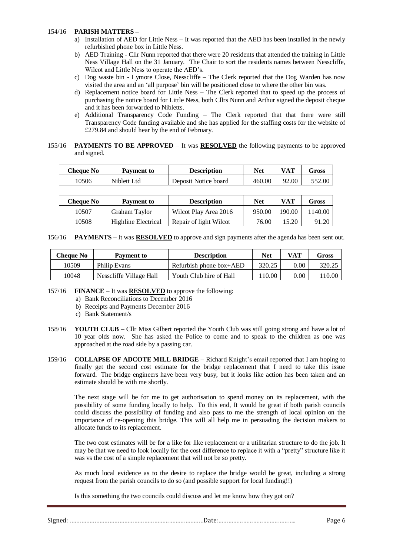### 154/16 **PARISH MATTERS –**

- a) Installation of AED for Little Ness It was reported that the AED has been installed in the newly refurbished phone box in Little Ness.
- b) AED Training Cllr Nunn reported that there were 20 residents that attended the training in Little Ness Village Hall on the 31 January. The Chair to sort the residents names between Nesscliffe, Wilcot and Little Ness to operate the AED's.
- c) Dog waste bin Lymore Close, Nesscliffe The Clerk reported that the Dog Warden has now visited the area and an 'all purpose' bin will be positioned close to where the other bin was.
- d) Replacement notice board for Little Ness The Clerk reported that to speed up the process of purchasing the notice board for Little Ness, both Cllrs Nunn and Arthur signed the deposit cheque and it has been forwarded to Nibletts.
- e) Additional Transparency Code Funding The Clerk reported that that there were still Transparency Code funding available and she has applied for the staffing costs for the website of £279.84 and should hear by the end of February.

## 155/16 **PAYMENTS TO BE APPROVED** – It was **RESOLVED** the following payments to be approved and signed.

| Cheque No | <b>Payment to</b> | Description          | Net    | VAT   | <b>Gross</b> |
|-----------|-------------------|----------------------|--------|-------|--------------|
| 10506     | Niblett Ltd       | Deposit Notice board | 460.00 | 92.00 | 552.00       |

| Cheaue No | Payment to          | <b>Description</b>     | Net    | VAT    | Gross  |
|-----------|---------------------|------------------------|--------|--------|--------|
| 10507     | Graham Tavlor       | Wilcot Play Area 2016  | 950.00 | 190.00 | 140.00 |
| 10508     | Highline Electrical | Repair of light Wilcot | 76.00  | 15.20  | 91.20  |

156/16 **PAYMENTS** – It was **RESOLVED** to approve and sign payments after the agenda has been sent out.

| <b>Cheque No</b> | Payment to              | <b>Description</b>        | Net    | VAT  | Gross  |
|------------------|-------------------------|---------------------------|--------|------|--------|
| 10509            | <b>Philip Evans</b>     | Refurbish phone $box+AED$ | 320.25 | 0.00 | 320.25 |
| 10048            | Nesscliffe Village Hall | Youth Club hire of Hall   | 10.00  | 0.00 | .10.00 |

### 157/16 **FINANCE** – It was **RESOLVED** to approve the following:

- a) Bank Reconciliations to December 2016
- b) Receipts and Payments December 2016
- c) Bank Statement/s
- 158/16 **YOUTH CLUB** Cllr Miss Gilbert reported the Youth Club was still going strong and have a lot of 10 year olds now. She has asked the Police to come and to speak to the children as one was approached at the road side by a passing car.
- 159/16 **COLLAPSE OF ADCOTE MILL BRIDGE** Richard Knight's email reported that I am hoping to finally get the second cost estimate for the bridge replacement that I need to take this issue forward. The bridge engineers have been very busy, but it looks like action has been taken and an estimate should be with me shortly.

The next stage will be for me to get authorisation to spend money on its replacement, with the possibility of some funding locally to help. To this end, It would be great if both parish councils could discuss the possibility of funding and also pass to me the strength of local opinion on the importance of re-opening this bridge. This will all help me in persuading the decision makers to allocate funds to its replacement.

The two cost estimates will be for a like for like replacement or a utilitarian structure to do the job. It may be that we need to look locally for the cost difference to replace it with a "pretty" structure like it was vs the cost of a simple replacement that will not be so pretty.

As much local evidence as to the desire to replace the bridge would be great, including a strong request from the parish councils to do so (and possible support for local funding!!)

Is this something the two councils could discuss and let me know how they got on?

Signed: ………………………………………………………………………Date:……………………………………….. Page 6